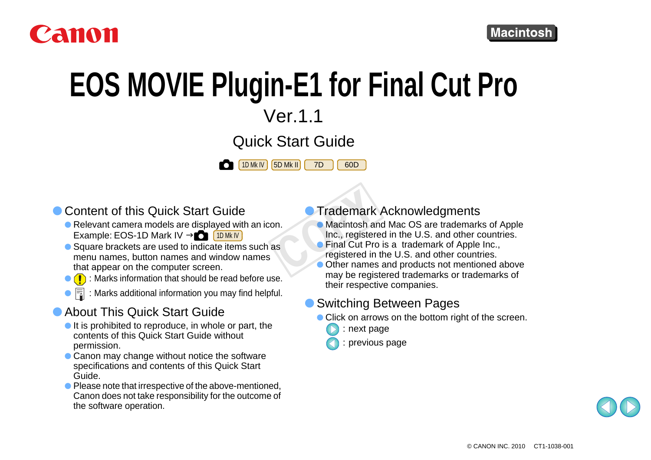

# **EOS MOVIE Plugin-E1 for Final Cut Pro**

Ver.1.1

Quick Start Guide

60D

1D Mk IV | 15D Mk II | 17D



- Content of this Quick Start Guide
	- $\bullet$  Relevant camera models are displayed with an icon. Example: EOS-1D Mark IV → O [1DMklV
	- Square brackets are used to indicate items such as menu names, button names and window names that appear on the computer screen.
	- $\bullet$  ( $\bullet$ ) : Marks information that should be read before use.
	- $\bullet \overline{\mathbb{R}}$  : Marks additional information you may find helpful.

#### **• About This Quick Start Guide**

- $\bullet$  It is prohibited to reproduce, in whole or part, the contents of this Quick Start Guide without permission.
- $\bullet$  Canon may change without notice the software specifications and contents of this Quick Start Guide.
- Please note that irrespective of the above-mentioned, Canon does not take responsibility for the outcome of the software operation.
- **Trademark Acknowledgments**
- O Macintosh and Mac OS are trademarks of Apple Inc., registered in the U.S. and other countries. Trademark<br>
Trademark<br>
Macintosh and<br>
Inc., registered in<br>
Trademark<br>
Comparison Comparison<br>
Comparison
	- Final Cut Pro is a trademark of Apple Inc., registered in the U.S. and other countries.
	- Other names and products not mentioned above may be registered trademarks or trademarks of their respective companies.

#### ● Switching Between Pages

- Click on arrows on the bottom right of the screen.
	- : next page
	- : previous page

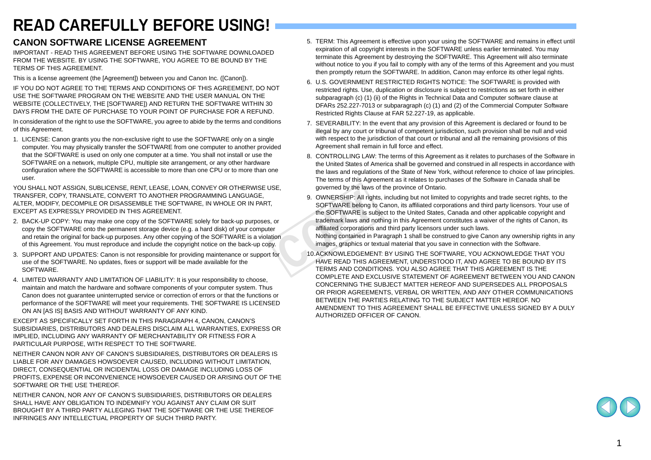#### **READ CAREFULLY BEFORE USING!**

#### **CANON SOFTWARE LICENSE AGREEMENT**

IMPORTANT - READ THIS AGREEMENT BEFORE USING THE SOFTWARE DOWNLOADED FROM THE WEBSITE. BY USING THE SOFTWARE, YOU AGREE TO BE BOUND BY THE TERMS OF THIS AGREEMENT.

This is a license agreement (the [Agreement]) between you and Canon Inc. ([Canon]).

IF YOU DO NOT AGREE TO THE TERMS AND CONDITIONS OF THIS AGREEMENT, DO NOT USE THE SOFTWARE PROGRAM ON THE WEBSITE AND THE USER MANUAL ON THE WEBSITE (COLLECTIVELY, THE [SOFTWARE]) AND RETURN THE SOFTWARE WITHIN 30 DAYS FROM THE DATE OF PURCHASE TO YOUR POINT OF PURCHASE FOR A REFUND.

In consideration of the right to use the SOFTWARE, you agree to abide by the terms and conditions of this Agreement.

1. LICENSE: Canon grants you the non-exclusive right to use the SOFTWARE only on a single computer. You may physically transfer the SOFTWARE from one computer to another provided that the SOFTWARE is used on only one computer at a time. You shall not install or use the SOFTWARE on a network, multiple CPU, multiple site arrangement, or any other hardware configuration where the SOFTWARE is accessible to more than one CPU or to more than one user.

YOU SHALL NOT ASSIGN, SUBLICENSE, RENT, LEASE, LOAN, CONVEY OR OTHERWISE USE, TRANSFER, COPY, TRANSLATE, CONVERT TO ANOTHER PROGRAMMING LANGUAGE, ALTER, MODIFY, DECOMPILE OR DISASSEMBLE THE SOFTWARE, IN WHOLE OR IN PART, EXCEPT AS EXPRESSLY PROVIDED IN THIS AGREEMENT.

- 2. BACK-UP COPY: You may make one copy of the SOFTWARE solely for back-up purposes, or copy the SOFTWARE onto the permanent storage device (e.g. a hard disk) of your computer and retain the original for back-up purposes. Any other copying of the SOFTWARE is a violation of this Agreement. You must reproduce and include the copyright notice on the back-up copy.
- 3. SUPPORT AND UPDATES: Canon is not responsible for providing maintenance or support for use of the SOFTWARE. No updates, fixes or support will be made available for the SOFTWARE.
- 4. LIMITED WARRANTY AND LIMITATION OF LIABILITY: It is your responsibility to choose, maintain and match the hardware and software components of your computer system. Thus Canon does not guarantee uninterrupted service or correction of errors or that the functions or performance of the SOFTWARE will meet your requirements. THE SOFTWARE IS LICENSED ON AN [AS IS] BASIS AND WITHOUT WARRANTY OF ANY KIND.

EXCEPT AS SPECIFICALLY SET FORTH IN THIS PARAGRAPH 4, CANON, CANON'S SUBSIDIARIES, DISTRIBUTORS AND DEALERS DISCLAIM ALL WARRANTIES, EXPRESS OR IMPLIED, INCLUDING ANY WARRANTY OF MERCHANTABILITY OR FITNESS FOR A PARTICULAR PURPOSE, WITH RESPECT TO THE SOFTWARE.

NEITHER CANON NOR ANY OF CANON'S SUBSIDIARIES, DISTRIBUTORS OR DEALERS IS LIABLE FOR ANY DAMAGES HOWSOEVER CAUSED, INCLUDING WITHOUT LIMITATION, DIRECT, CONSEQUENTIAL OR INCIDENTAL LOSS OR DAMAGE INCLUDING LOSS OF PROFITS, EXPENSE OR INCONVENIENCE HOWSOEVER CAUSED OR ARISING OUT OF THE SOFTWARE OR THE USE THEREOF.

NEITHER CANON, NOR ANY OF CANON'S SUBSIDIARIES, DISTRIBUTORS OR DEALERS SHALL HAVE ANY OBLIGATION TO INDEMNIFY YOU AGAINST ANY CLAIM OR SUIT BROUGHT BY A THIRD PARTY ALLEGING THAT THE SOFTWARE OR THE USE THEREOF INFRINGES ANY INTELLECTUAL PROPERTY OF SUCH THIRD PARTY.

- 5. TERM: This Agreement is effective upon your using the SOFTWARE and remains in effect until expiration of all copyright interests in the SOFTWARE unless earlier terminated. You may terminate this Agreement by destroying the SOFTWARE. This Agreement will also terminate without notice to you if you fail to comply with any of the terms of this Agreement and you must then promptly return the SOFTWARE. In addition, Canon may enforce its other legal rights.
- 6. U.S. GOVERNMENT RESTRICTED RIGHTS NOTICE: The SOFTWARE is provided with restricted rights. Use, duplication or disclosure is subject to restrictions as set forth in either subparagraph (c) (1) (ii) of the Rights in Technical Data and Computer software clause at DFARs 252.227-7013 or subparagraph (c) (1) and (2) of the Commercial Computer Software Restricted Rights Clause at FAR 52.227-19, as applicable.
- 7. SEVERABILITY: In the event that any provision of this Agreement is declared or found to be illegal by any court or tribunal of competent jurisdiction, such provision shall be null and void with respect to the jurisdiction of that court or tribunal and all the remaining provisions of this Agreement shall remain in full force and effect.
- 8. CONTROLLING LAW: The terms of this Agreement as it relates to purchases of the Software in the United States of America shall be governed and construed in all respects in accordance with the laws and regulations of the State of New York, without reference to choice of law principles. The terms of this Agreement as it relates to purchases of the Software in Canada shall be governed by the laws of the province of Ontario.
- 9. OWNERSHIP: All rights, including but not limited to copyrights and trade secret rights, to the SOFTWARE belong to Canon, its affiliated corporations and third party licensors. Your use of the SOFTWARE is subject to the United States, Canada and other applicable copyright and trademark laws and nothing in this Agreement constitutes a waiver of the rights of Canon, its affiliated corporations and third party licensors under such laws. Nothing contained in Paragraph 1 shall be construed to give Canon any ownership rights in any images, graphics or textual material that you save in connection with the Software. 9. OWNERSHIP: All right<br>
SOFTWARE belong to<br>
the SOFTWARE is sub-<br>
or<br>
trademark laws and no<br>
r affiliated corporations a<br>
Mothing contained in P<br>
images, graphics or te:<br>
for<br>
10.ACKNOWLEDGEMEN<br>
HAVE READ THIS AG<br>
TERMS A
	- 10.ACKNOWLEDGEMENT: BY USING THE SOFTWARE, YOU ACKNOWLEDGE THAT YOU HAVE READ THIS AGREEMENT, UNDERSTOOD IT, AND AGREE TO BE BOUND BY ITS TERMS AND CONDITIONS. YOU ALSO AGREE THAT THIS AGREEMENT IS THE COMPLETE AND EXCLUSIVE STATEMENT OF AGREEMENT BETWEEN YOU AND CANON CONCERNING THE SUBJECT MATTER HEREOF AND SUPERSEDES ALL PROPOSALS OR PRIOR AGREEMENTS, VERBAL OR WRITTEN, AND ANY OTHER COMMUNICATIONS BETWEEN THE PARTIES RELATING TO THE SUBJECT MATTER HEREOF. NO AMENDMENT TO THIS AGREEMENT SHALL BE EFFECTIVE UNLESS SIGNED BY A DULY AUTHORIZED OFFICER OF CANON.

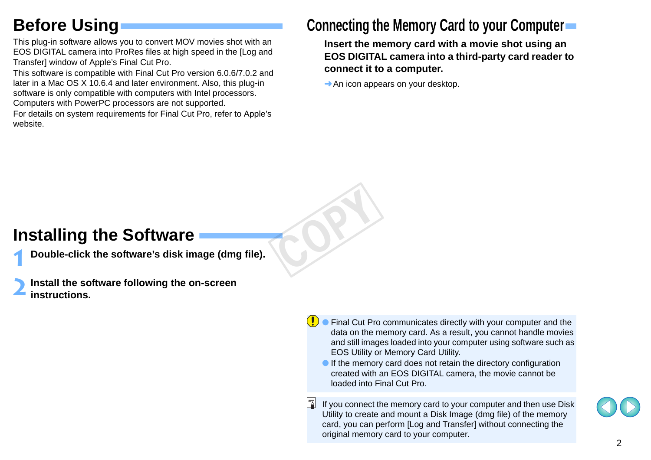# **Before Using**

This plug-in software allows you to convert MOV movies shot with an EOS DIGITAL camera into ProRes files at high speed in the [Log and Transfer] window of Apple's Final Cut Pro.

This software is compatible with Final Cut Pro version 6.0.6/7.0.2 and later in a Mac OS X 10.6.4 and later environment. Also, this plug-in software is only compatible with computers with Intel processors. Computers with PowerPC processors are not supported.

For details on system requirements for Final Cut Pro, refer to Apple's website.

#### **Connecting the Memory Card to your Computer**

**Insert the memory card with a movie shot using an EOS DIGITAL camera into a third-party card reader to connect it to a computer.**

 $\rightarrow$  An icon appears on your desktop.

COPY

### **Installing the Software**

**1Double-click the software's disk image (dmg file).**

**2Install the software following the on-screen instructions.**

- O Final Cut Pro communicates directly with your computer and the data on the memory card. As a result, you cannot handle movies and still images loaded into your computer using software such as EOS Utility or Memory Card Utility.
	- O If the memory card does not retain the directory configuration created with an EOS DIGITAL camera, the movie cannot be loaded into Final Cut Pro.
- If you connect the memory card to your computer and then use Disk Utility to create and mount a Disk Image (dmg file) of the memory card, you can perform [Log and Transfer] without connecting the original memory card to your computer.

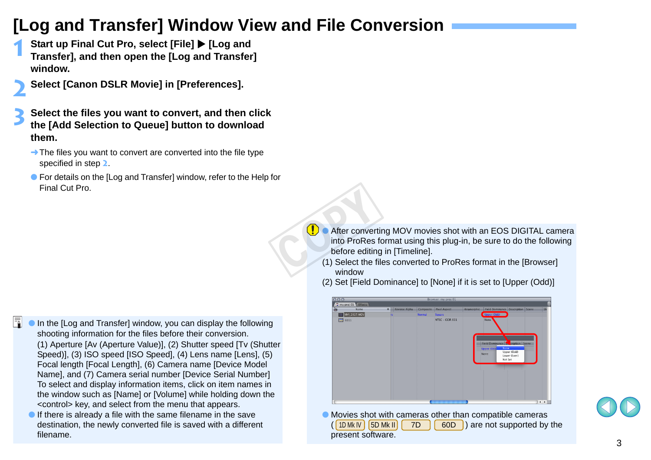### **[Log and Transfer] Window View and File Conversion**

- **1Start up Final Cut Pro, select [File]**  $\blacktriangleright$  **[Log and Transfer], and then open the [Log and Transfer] window.**
- **2 Select [Canon DSLR Movie] in [Preferences].**
	- **3 Select the files you want to convert, and then click the [Add Selection to Queue] button to download them.**
	- $\rightarrow$  The files you want to convert are converted into the file type specified in step **2**.
	- For details on the [Log and Transfer] window, refer to the Help for Final Cut Pro.

- ħ O In the [Log and Transfer] window, you can display the following shooting information for the files before their conversion. (1) Aperture [Av (Aperture Value)], (2) Shutter speed [Tv (Shutter Speed)], (3) ISO speed [ISO Speed], (4) Lens name [Lens], (5) Focal length [Focal Length], (6) Camera name [Device Model Name], and (7) Camera serial number [Device Serial Number] To select and display information items, click on item names in the window such as [Name] or [Volume] while holding down the <control> key, and select from the menu that appears.
	- $\bullet$  If there is already a file with the same filename in the save destination, the newly converted file is saved with a different filename.
- After converting MOV movies shot with an EOS DIGITAL camera into ProRes format using this plug-in, be sure to do the following before editing in [Timeline]. **D**<br> **After conver**<br>
into ProRes<br>
before editin<br>
(1) Select the f
	- (1) Select the files converted to ProRes format in the [Browser] window
	- (2) Set [Field Dominance] to [None] if it is set to [Upper (Odd)]



O Movies shot with cameras other than compatible cameras  $(\lceil 1D M k N \rceil \lceil 5D M k I \rceil \rceil \mid 7D \rceil \lceil 60D \rceil)$  are not supported by the present software. 1D Mk IV | 15D Mk II | 1 7D